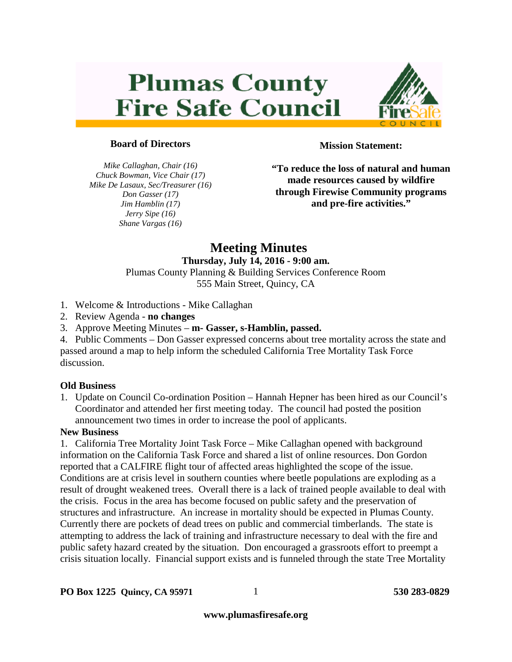# **Plumas County Fire Safe Council**



# **Board of Directors**

*Mike Callaghan, Chair (16) Chuck Bowman, Vice Chair (17) Mike De Lasaux, Sec/Treasurer (16) Don Gasser (17) Jim Hamblin (17) Jerry Sipe (16) Shane Vargas (16)*

**Mission Statement:**

**"To reduce the loss of natural and human made resources caused by wildfire through Firewise Community programs and pre-fire activities."**

# **Meeting Minutes**

# **Thursday, July 14, 2016 - 9:00 am.**

Plumas County Planning & Building Services Conference Room 555 Main Street, Quincy, CA

- 1. Welcome & Introductions Mike Callaghan
- 2. Review Agenda **no changes**
- 3. Approve Meeting Minutes **m- Gasser, s-Hamblin, passed.**
- 4. Public Comments Don Gasser expressed concerns about tree mortality across the state and passed around a map to help inform the scheduled California Tree Mortality Task Force discussion.

# **Old Business**

1. Update on Council Co-ordination Position – Hannah Hepner has been hired as our Council's Coordinator and attended her first meeting today. The council had posted the position announcement two times in order to increase the pool of applicants.

# **New Business**

1. California Tree Mortality Joint Task Force – Mike Callaghan opened with background information on the California Task Force and shared a list of online resources. Don Gordon reported that a CALFIRE flight tour of affected areas highlighted the scope of the issue. Conditions are at crisis level in southern counties where beetle populations are exploding as a result of drought weakened trees. Overall there is a lack of trained people available to deal with the crisis. Focus in the area has become focused on public safety and the preservation of structures and infrastructure. An increase in mortality should be expected in Plumas County. Currently there are pockets of dead trees on public and commercial timberlands. The state is attempting to address the lack of training and infrastructure necessary to deal with the fire and public safety hazard created by the situation. Don encouraged a grassroots effort to preempt a crisis situation locally. Financial support exists and is funneled through the state Tree Mortality

**www.plumasfiresafe.org**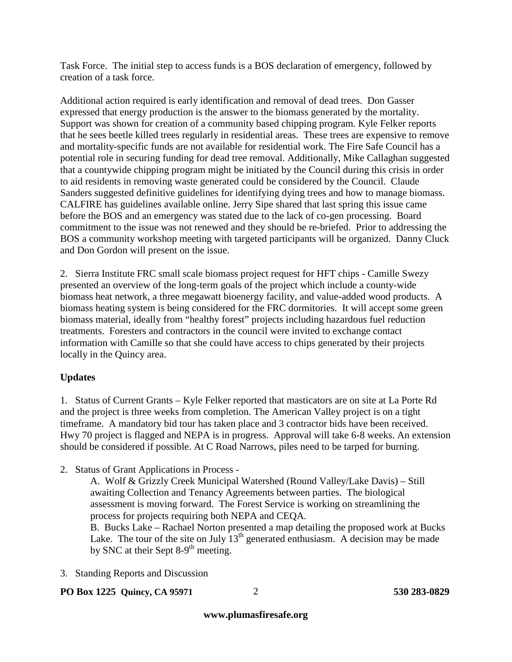Task Force. The initial step to access funds is a BOS declaration of emergency, followed by creation of a task force.

Additional action required is early identification and removal of dead trees. Don Gasser expressed that energy production is the answer to the biomass generated by the mortality. Support was shown for creation of a community based chipping program. Kyle Felker reports that he sees beetle killed trees regularly in residential areas. These trees are expensive to remove and mortality-specific funds are not available for residential work. The Fire Safe Council has a potential role in securing funding for dead tree removal. Additionally, Mike Callaghan suggested that a countywide chipping program might be initiated by the Council during this crisis in order to aid residents in removing waste generated could be considered by the Council. Claude Sanders suggested definitive guidelines for identifying dying trees and how to manage biomass. CALFIRE has guidelines available online. Jerry Sipe shared that last spring this issue came before the BOS and an emergency was stated due to the lack of co-gen processing. Board commitment to the issue was not renewed and they should be re-briefed. Prior to addressing the BOS a community workshop meeting with targeted participants will be organized. Danny Cluck and Don Gordon will present on the issue.

2. Sierra Institute FRC small scale biomass project request for HFT chips - Camille Swezy presented an overview of the long-term goals of the project which include a county-wide biomass heat network, a three megawatt bioenergy facility, and value-added wood products. A biomass heating system is being considered for the FRC dormitories. It will accept some green biomass material, ideally from "healthy forest" projects including hazardous fuel reduction treatments. Foresters and contractors in the council were invited to exchange contact information with Camille so that she could have access to chips generated by their projects locally in the Quincy area.

# **Updates**

1. Status of Current Grants – Kyle Felker reported that masticators are on site at La Porte Rd and the project is three weeks from completion. The American Valley project is on a tight timeframe. A mandatory bid tour has taken place and 3 contractor bids have been received. Hwy 70 project is flagged and NEPA is in progress. Approval will take 6-8 weeks. An extension should be considered if possible. At C Road Narrows, piles need to be tarped for burning.

2. Status of Grant Applications in Process -

A. Wolf & Grizzly Creek Municipal Watershed (Round Valley/Lake Davis) – Still awaiting Collection and Tenancy Agreements between parties. The biological assessment is moving forward. The Forest Service is working on streamlining the process for projects requiring both NEPA and CEQA.

B. Bucks Lake – Rachael Norton presented a map detailing the proposed work at Bucks Lake. The tour of the site on July  $13<sup>th</sup>$  generated enthusiasm. A decision may be made by SNC at their Sept 8-9<sup>th</sup> meeting.

3. Standing Reports and Discussion

**PO Box 1225 Quincy, CA 95971 530 283-0829**